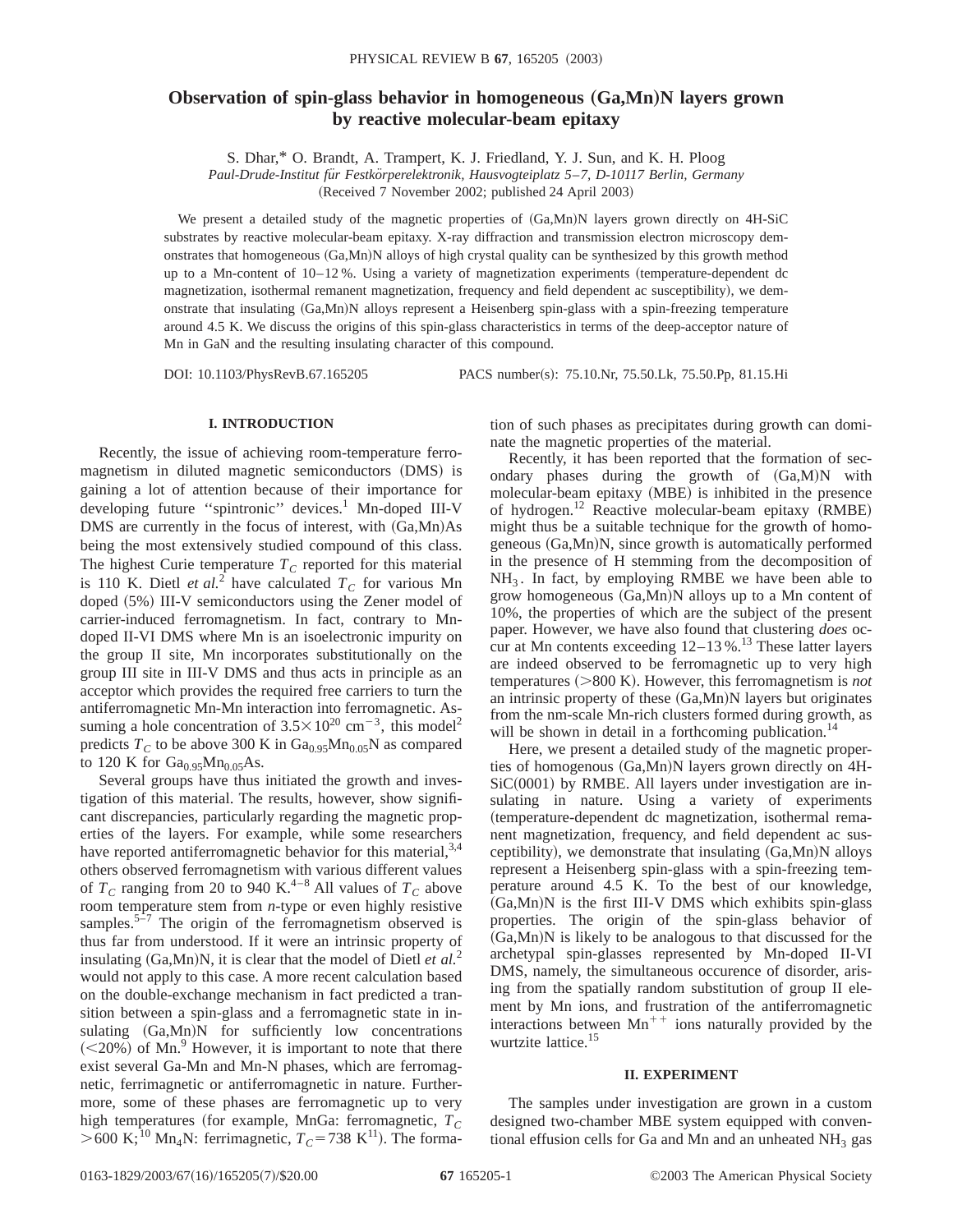# **Observation of spin-glass behavior in homogeneous (Ga,Mn)N layers grown by reactive molecular-beam epitaxy**

S. Dhar,\* O. Brandt, A. Trampert, K. J. Friedland, Y. J. Sun, and K. H. Ploog

*Paul-Drude-Institut fu¨r Festko¨rperelektronik, Hausvogteiplatz 5*–*7, D-10117 Berlin, Germany* (Received 7 November 2002; published 24 April 2003)

We present a detailed study of the magnetic properties of  $(Ga, Mn)N$  layers grown directly on 4H-SiC substrates by reactive molecular-beam epitaxy. X-ray diffraction and transmission electron microscopy demonstrates that homogeneous (Ga,Mn)N alloys of high crystal quality can be synthesized by this growth method up to a Mn-content of  $10-12$ %. Using a variety of magnetization experiments (temperature-dependent dc magnetization, isothermal remanent magnetization, frequency and field dependent ac susceptibility), we demonstrate that insulating (Ga,Mn)N alloys represent a Heisenberg spin-glass with a spin-freezing temperature around 4.5 K. We discuss the origins of this spin-glass characteristics in terms of the deep-acceptor nature of

Mn in GaN and the resulting insulating character of this compound.

DOI: 10.1103/PhysRevB.67.165205 PACS number(s): 75.10.Nr, 75.50.Lk, 75.50.Pp, 81.15.Hi

## **I. INTRODUCTION**

Recently, the issue of achieving room-temperature ferromagnetism in diluted magnetic semiconductors (DMS) is gaining a lot of attention because of their importance for developing future "spintronic" devices.<sup>1</sup> Mn-doped III-V DMS are currently in the focus of interest, with  $(Ga, Mn)As$ being the most extensively studied compound of this class. The highest Curie temperature  $T_c$  reported for this material is 110 K. Dietl *et al.*<sup>2</sup> have calculated  $T_c$  for various Mn doped  $(5\%)$  III-V semiconductors using the Zener model of carrier-induced ferromagnetism. In fact, contrary to Mndoped II-VI DMS where Mn is an isoelectronic impurity on the group II site, Mn incorporates substitutionally on the group III site in III-V DMS and thus acts in principle as an acceptor which provides the required free carriers to turn the antiferromagnetic Mn-Mn interaction into ferromagnetic. Assuming a hole concentration of  $3.5 \times 10^{20}$  cm<sup>-3</sup>, this model<sup>2</sup> predicts  $T_c$  to be above 300 K in  $Ga<sub>0.95</sub>Mn<sub>0.05</sub>N$  as compared to 120 K for  $Ga_{0.95}Mn_{0.05}As$ .

Several groups have thus initiated the growth and investigation of this material. The results, however, show significant discrepancies, particularly regarding the magnetic properties of the layers. For example, while some researchers have reported antiferromagnetic behavior for this material,  $3,4$ others observed ferromagnetism with various different values of  $T_c$  ranging from 20 to 940 K.<sup>4–8</sup> All values of  $T_c$  above room temperature stem from *n*-type or even highly resistive samples. $5\overline{-7}$  The origin of the ferromagnetism observed is thus far from understood. If it were an intrinsic property of insulating  $(Ga, Mn)N$ , it is clear that the model of Dietl *et al.*<sup>2</sup> would not apply to this case. A more recent calculation based on the double-exchange mechanism in fact predicted a transition between a spin-glass and a ferromagnetic state in insulating  $(Ga, Mn)N$  for sufficiently low concentrations  $(<20\%)$  of Mn.<sup>9</sup> However, it is important to note that there exist several Ga-Mn and Mn-N phases, which are ferromagnetic, ferrimagnetic or antiferromagnetic in nature. Furthermore, some of these phases are ferromagnetic up to very high temperatures (for example, MnGa: ferromagnetic,  $T_c$  $>600$  K;<sup>10</sup> Mn<sub>4</sub>N: ferrimagnetic,  $T_C$ =738 K<sup>11</sup>). The formation of such phases as precipitates during growth can dominate the magnetic properties of the material.

Recently, it has been reported that the formation of secondary phases during the growth of  $(Ga, M)N$  with molecular-beam epitaxy (MBE) is inhibited in the presence of hydrogen.<sup>12</sup> Reactive molecular-beam epitaxy (RMBE) might thus be a suitable technique for the growth of homogeneous (Ga,Mn)N, since growth is automatically performed in the presence of H stemming from the decomposition of  $NH<sub>3</sub>$ . In fact, by employing RMBE we have been able to grow homogeneous  $(Ga, Mn)N$  alloys up to a Mn content of 10%, the properties of which are the subject of the present paper. However, we have also found that clustering *does* occur at Mn contents exceeding  $12-13\%$ .<sup>13</sup> These latter layers are indeed observed to be ferromagnetic up to very high temperatures  $(>800 \text{ K})$ . However, this ferromagnetism is *not* an intrinsic property of these  $(Ga, Mn)N$  layers but originates from the nm-scale Mn-rich clusters formed during growth, as will be shown in detail in a forthcoming publication.<sup>14</sup>

Here, we present a detailed study of the magnetic properties of homogenous  $(Ga, Mn)N$  layers grown directly on  $4H$ - $SiC(0001)$  by RMBE. All layers under investigation are insulating in nature. Using a variety of experiments ~temperature-dependent dc magnetization, isothermal remanent magnetization, frequency, and field dependent ac susceptibility), we demonstrate that insulating  $(Ga, Mn)N$  alloys represent a Heisenberg spin-glass with a spin-freezing temperature around 4.5 K. To the best of our knowledge,  $(Ga, Mn)$ N is the first III-V DMS which exhibits spin-glass properties. The origin of the spin-glass behavior of  $(Ga, Mn)$ N is likely to be analogous to that discussed for the archetypal spin-glasses represented by Mn-doped II-VI DMS, namely, the simultaneous occurence of disorder, arising from the spatially random substitution of group II element by Mn ions, and frustration of the antiferromagnetic interactions between  $Mn^{++}$  ions naturally provided by the wurtzite lattice.15

## **II. EXPERIMENT**

The samples under investigation are grown in a custom designed two-chamber MBE system equipped with conventional effusion cells for Ga and Mn and an unheated  $NH<sub>3</sub>$  gas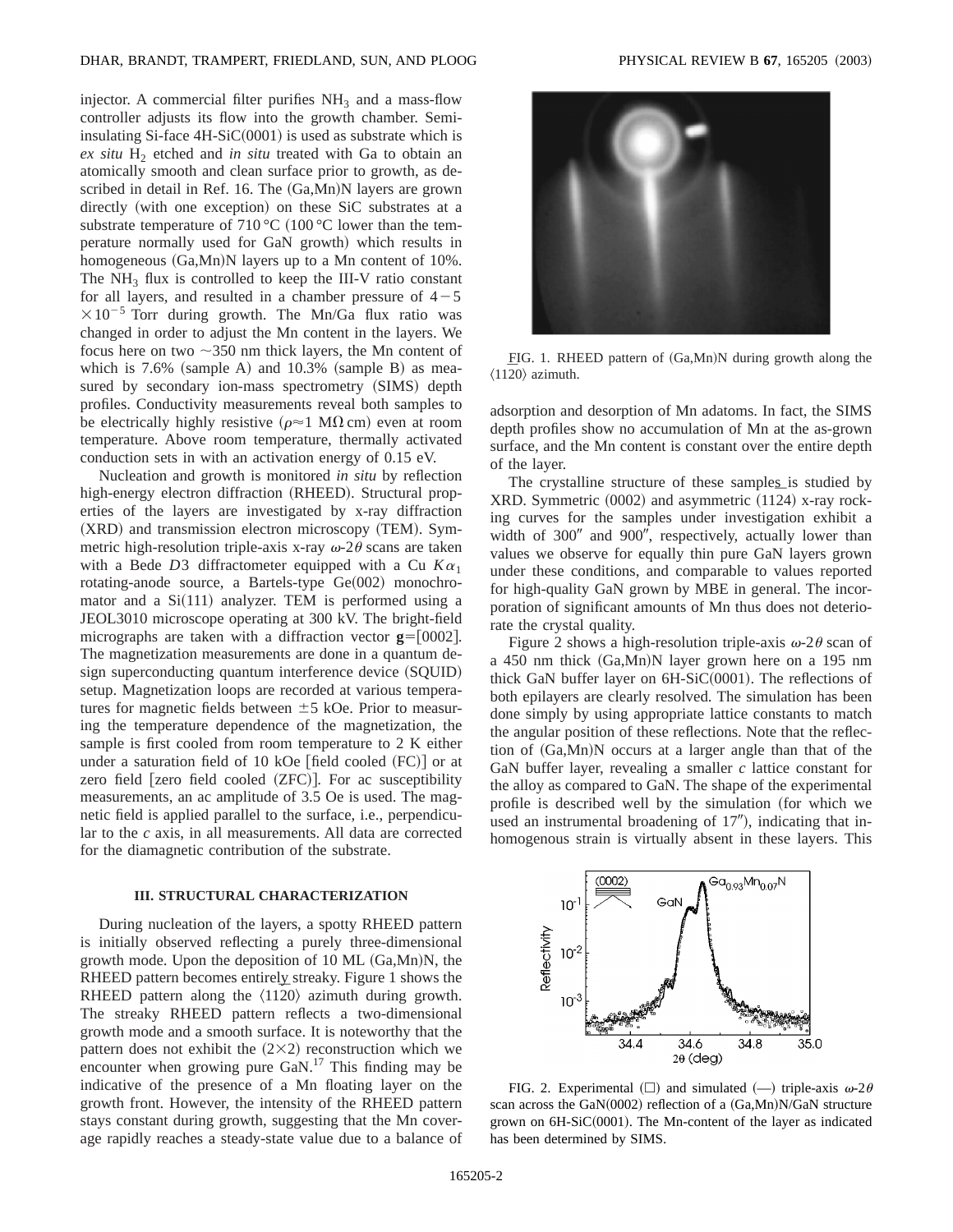injector. A commercial filter purifies  $NH<sub>3</sub>$  and a mass-flow controller adjusts its flow into the growth chamber. Semiinsulating Si-face  $4H-SiC(0001)$  is used as substrate which is *ex situ* H<sub>2</sub> etched and *in situ* treated with Ga to obtain an atomically smooth and clean surface prior to growth, as described in detail in Ref. 16. The (Ga,Mn)N layers are grown directly (with one exception) on these SiC substrates at a substrate temperature of 710 °C (100 °C lower than the temperature normally used for GaN growth) which results in homogeneous  $(Ga, Mn)N$  layers up to a Mn content of 10%. The  $NH<sub>3</sub>$  flux is controlled to keep the III-V ratio constant for all layers, and resulted in a chamber pressure of  $4-5$  $\times 10^{-5}$  Torr during growth. The Mn/Ga flux ratio was changed in order to adjust the Mn content in the layers. We focus here on two  $\sim$ 350 nm thick layers, the Mn content of which is  $7.6\%$  (sample A) and  $10.3\%$  (sample B) as measured by secondary ion-mass spectrometry (SIMS) depth profiles. Conductivity measurements reveal both samples to be electrically highly resistive ( $\rho \approx 1$  M $\Omega$  cm) even at room temperature. Above room temperature, thermally activated conduction sets in with an activation energy of 0.15 eV.

Nucleation and growth is monitored *in situ* by reflection high-energy electron diffraction (RHEED). Structural properties of the layers are investigated by x-ray diffraction  $(XRD)$  and transmission electron microscopy  $(TEM)$ . Symmetric high-resolution triple-axis x-ray  $\omega$ -2 $\theta$  scans are taken with a Bede *D*3 diffractometer equipped with a Cu  $K\alpha_1$ rotating-anode source, a Bartels-type  $Ge(002)$  monochromator and a  $Si(111)$  analyzer. TEM is performed using a JEOL3010 microscope operating at 300 kV. The bright-field micrographs are taken with a diffraction vector  $g=[0002]$ . The magnetization measurements are done in a quantum design superconducting quantum interference device (SQUID) setup. Magnetization loops are recorded at various temperatures for magnetic fields between  $\pm$  5 kOe. Prior to measuring the temperature dependence of the magnetization, the sample is first cooled from room temperature to 2 K either under a saturation field of 10 kOe [field cooled  $(FC)$ ] or at zero field  $[$ zero field cooled  $(ZFC)$ ]. For ac susceptibility measurements, an ac amplitude of 3.5 Oe is used. The magnetic field is applied parallel to the surface, i.e., perpendicular to the *c* axis, in all measurements. All data are corrected for the diamagnetic contribution of the substrate.

## **III. STRUCTURAL CHARACTERIZATION**

During nucleation of the layers, a spotty RHEED pattern is initially observed reflecting a purely three-dimensional growth mode. Upon the deposition of 10 ML  $(Ga, Mn)N$ , the RHEED pattern becomes entirely streaky. Figure 1 shows the RHEED pattern along the  $\langle 1120 \rangle$  azimuth during growth. The streaky RHEED pattern reflects a two-dimensional growth mode and a smooth surface. It is noteworthy that the pattern does not exhibit the  $(2\times2)$  reconstruction which we encounter when growing pure GaN.17 This finding may be indicative of the presence of a Mn floating layer on the growth front. However, the intensity of the RHEED pattern stays constant during growth, suggesting that the Mn coverage rapidly reaches a steady-state value due to a balance of



FIG. 1. RHEED pattern of (Ga,Mn)N during growth along the  $\langle 11\overline{2}0\rangle$  azimuth.

adsorption and desorption of Mn adatoms. In fact, the SIMS depth profiles show no accumulation of Mn at the as-grown surface, and the Mn content is constant over the entire depth of the layer.

The crystalline structure of these samples is studied by  $XRD.$  Symmetric  $(0002)$  and asymmetric  $(1124)$  x-ray rocking curves for the samples under investigation exhibit a width of 300" and 900", respectively, actually lower than values we observe for equally thin pure GaN layers grown under these conditions, and comparable to values reported for high-quality GaN grown by MBE in general. The incorporation of significant amounts of Mn thus does not deteriorate the crystal quality.

Figure 2 shows a high-resolution triple-axis  $\omega$ -2 $\theta$  scan of a 450 nm thick  $(Ga, Mn)N$  layer grown here on a 195 nm thick GaN buffer layer on  $6H-SiC(0001)$ . The reflections of both epilayers are clearly resolved. The simulation has been done simply by using appropriate lattice constants to match the angular position of these reflections. Note that the reflection of  $(Ga, Mn)N$  occurs at a larger angle than that of the GaN buffer layer, revealing a smaller *c* lattice constant for the alloy as compared to GaN. The shape of the experimental profile is described well by the simulation (for which we used an instrumental broadening of  $17$ "), indicating that inhomogenous strain is virtually absent in these layers. This



FIG. 2. Experimental  $(\Box)$  and simulated  $(\underline{\hspace{0.2cm}})$  triple-axis  $\omega$ -2 $\theta$ scan across the GaN $(0002)$  reflection of a  $(Ga, Mn)N/GaN$  structure grown on 6H-SiC(0001). The Mn-content of the layer as indicated has been determined by SIMS.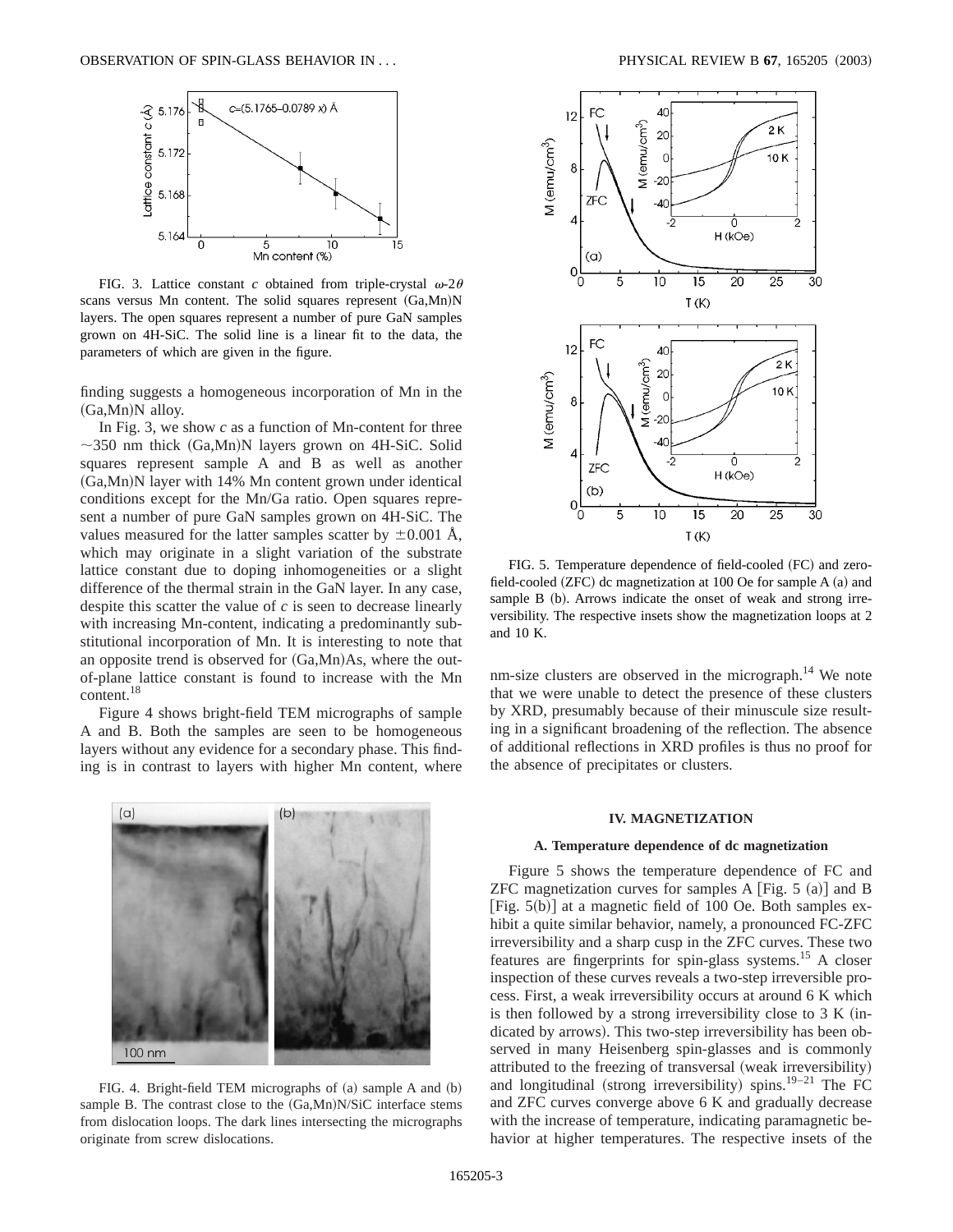

FIG. 3. Lattice constant *c* obtained from triple-crystal  $\omega$ -2 $\theta$ scans versus Mn content. The solid squares represent  $(Ga, Mn)N$ layers. The open squares represent a number of pure GaN samples grown on 4H-SiC. The solid line is a linear fit to the data, the parameters of which are given in the figure.

finding suggests a homogeneous incorporation of Mn in the  $(Ga, Mn)$ N alloy.

In Fig. 3, we show *c* as a function of Mn-content for three  $\sim$ 350 nm thick (Ga,Mn)N layers grown on 4H-SiC. Solid squares represent sample A and B as well as another  $(Ga, Mn)$ N layer with 14% Mn content grown under identical conditions except for the Mn/Ga ratio. Open squares represent a number of pure GaN samples grown on 4H-SiC. The values measured for the latter samples scatter by  $\pm 0.001$  Å, which may originate in a slight variation of the substrate lattice constant due to doping inhomogeneities or a slight difference of the thermal strain in the GaN layer. In any case, despite this scatter the value of *c* is seen to decrease linearly with increasing Mn-content, indicating a predominantly substitutional incorporation of Mn. It is interesting to note that an opposite trend is observed for  $(Ga, Mn)As$ , where the outof-plane lattice constant is found to increase with the Mn content.18

Figure 4 shows bright-field TEM micrographs of sample A and B. Both the samples are seen to be homogeneous layers without any evidence for a secondary phase. This finding is in contrast to layers with higher Mn content, where



FIG. 4. Bright-field TEM micrographs of  $(a)$  sample A and  $(b)$ sample B. The contrast close to the  $(Ga, Mn)N/SiC$  interface stems from dislocation loops. The dark lines intersecting the micrographs originate from screw dislocations.



FIG. 5. Temperature dependence of field-cooled (FC) and zerofield-cooled  $(ZFC)$  dc magnetization at 100 Oe for sample A  $(a)$  and sample B (b). Arrows indicate the onset of weak and strong irreversibility. The respective insets show the magnetization loops at 2 and 10 K.

nm-size clusters are observed in the micrograph.<sup>14</sup> We note that we were unable to detect the presence of these clusters by XRD, presumably because of their minuscule size resulting in a significant broadening of the reflection. The absence of additional reflections in XRD profiles is thus no proof for the absence of precipitates or clusters.

## **IV. MAGNETIZATION**

## **A. Temperature dependence of dc magnetization**

Figure 5 shows the temperature dependence of FC and ZFC magnetization curves for samples A  $[Fig. 5 (a)]$  and B [Fig.  $5(b)$ ] at a magnetic field of 100 Oe. Both samples exhibit a quite similar behavior, namely, a pronounced FC-ZFC irreversibility and a sharp cusp in the ZFC curves. These two features are fingerprints for spin-glass systems.15 A closer inspection of these curves reveals a two-step irreversible process. First, a weak irreversibility occurs at around 6 K which is then followed by a strong irreversibility close to  $3 K (in$ dicated by arrows). This two-step irreversibility has been observed in many Heisenberg spin-glasses and is commonly attributed to the freezing of transversal (weak irreversibility) and longitudinal (strong irreversibility) spins.<sup>19–21</sup> The FC and ZFC curves converge above 6 K and gradually decrease with the increase of temperature, indicating paramagnetic behavior at higher temperatures. The respective insets of the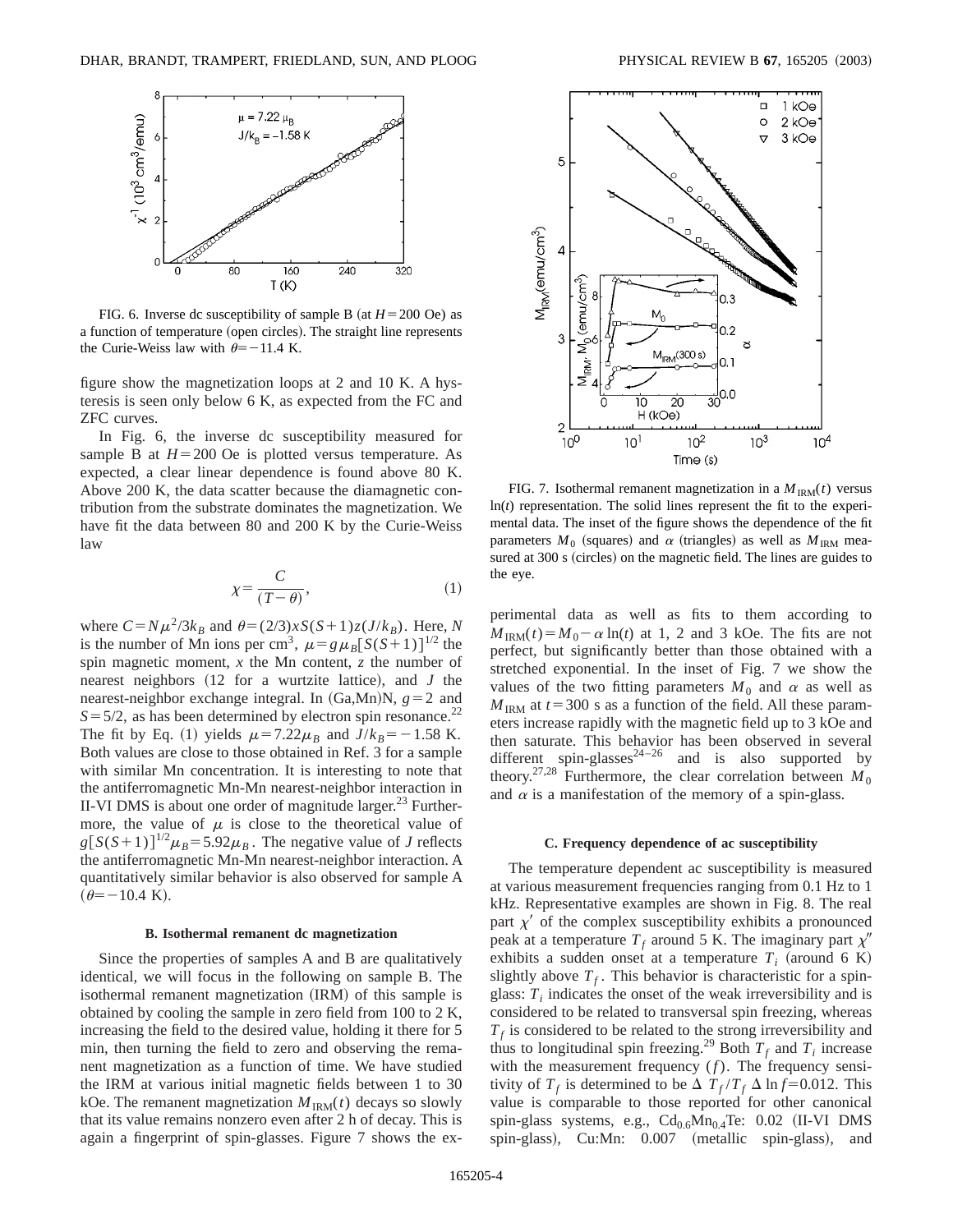

FIG. 6. Inverse dc susceptibility of sample B (at  $H = 200$  Oe) as a function of temperature (open circles). The straight line represents the Curie-Weiss law with  $\theta$ = -11.4 K.

figure show the magnetization loops at 2 and 10 K. A hysteresis is seen only below 6 K, as expected from the FC and ZFC curves.

In Fig. 6, the inverse dc susceptibility measured for sample B at  $H = 200$  Oe is plotted versus temperature. As expected, a clear linear dependence is found above 80 K. Above 200 K, the data scatter because the diamagnetic contribution from the substrate dominates the magnetization. We have fit the data between 80 and 200 K by the Curie-Weiss law

$$
\chi = \frac{C}{(T - \theta)},\tag{1}
$$

where  $C = N\mu^2/3k_B$  and  $\theta = (2/3)xS(S+1)z(J/k_B)$ . Here, *N* is the number of Mn ions per cm<sup>3</sup>,  $\mu = g \mu_B [S(S+1)]^{1/2}$  the spin magnetic moment, *x* the Mn content, *z* the number of nearest neighbors  $(12$  for a wurtzite lattice), and *J* the nearest-neighbor exchange integral. In  $(Ga, Mn)N$ ,  $g=2$  and  $S = 5/2$ , as has been determined by electron spin resonance.<sup>22</sup> The fit by Eq. (1) yields  $\mu = 7.22\mu_B$  and  $J/k_B = -1.58$  K. Both values are close to those obtained in Ref. 3 for a sample with similar Mn concentration. It is interesting to note that the antiferromagnetic Mn-Mn nearest-neighbor interaction in II-VI DMS is about one order of magnitude larger. $^{23}$  Furthermore, the value of  $\mu$  is close to the theoretical value of  $g[S(S+1)]^{1/2}\mu_B = 5.92\mu_B$ . The negative value of *J* reflects the antiferromagnetic Mn-Mn nearest-neighbor interaction. A quantitatively similar behavior is also observed for sample A  $(\theta = -10.4 \text{ K}).$ 

#### **B. Isothermal remanent dc magnetization**

Since the properties of samples A and B are qualitatively identical, we will focus in the following on sample B. The isothermal remanent magnetization (IRM) of this sample is obtained by cooling the sample in zero field from 100 to 2 K, increasing the field to the desired value, holding it there for 5 min, then turning the field to zero and observing the remanent magnetization as a function of time. We have studied the IRM at various initial magnetic fields between 1 to 30 kOe. The remanent magnetization  $M_{\text{IRM}}(t)$  decays so slowly that its value remains nonzero even after 2 h of decay. This is again a fingerprint of spin-glasses. Figure 7 shows the ex-



FIG. 7. Isothermal remanent magnetization in a  $M_{\text{IRM}}(t)$  versus ln(*t*) representation. The solid lines represent the fit to the experimental data. The inset of the figure shows the dependence of the fit parameters  $M_0$  (squares) and  $\alpha$  (triangles) as well as  $M_{\text{IRM}}$  measured at 300 s (circles) on the magnetic field. The lines are guides to the eye.

perimental data as well as fits to them according to  $M_{\text{IRM}}(t) = M_0 - \alpha \ln(t)$  at 1, 2 and 3 kOe. The fits are not perfect, but significantly better than those obtained with a stretched exponential. In the inset of Fig. 7 we show the values of the two fitting parameters  $M_0$  and  $\alpha$  as well as  $M_{\text{IRM}}$  at  $t=300$  s as a function of the field. All these parameters increase rapidly with the magnetic field up to 3 kOe and then saturate. This behavior has been observed in several different spin-glasses<sup>24-26</sup> and is also supported by theory.<sup>27,28</sup> Furthermore, the clear correlation between  $M_0$ and  $\alpha$  is a manifestation of the memory of a spin-glass.

#### **C. Frequency dependence of ac susceptibility**

The temperature dependent ac susceptibility is measured at various measurement frequencies ranging from 0.1 Hz to 1 kHz. Representative examples are shown in Fig. 8. The real part  $\chi'$  of the complex susceptibility exhibits a pronounced peak at a temperature  $T_f$  around 5 K. The imaginary part  $\chi''$ exhibits a sudden onset at a temperature  $T_i$  (around 6 K) slightly above  $T_f$ . This behavior is characteristic for a spinglass:  $T_i$  indicates the onset of the weak irreversibility and is considered to be related to transversal spin freezing, whereas  $T<sub>f</sub>$  is considered to be related to the strong irreversibility and thus to longitudinal spin freezing.<sup>29</sup> Both  $T_f$  and  $T_i$  increase with the measurement frequency (*f*). The frequency sensitivity of  $T_f$  is determined to be  $\Delta T_f/T_f \Delta \ln f = 0.012$ . This value is comparable to those reported for other canonical spin-glass systems, e.g.,  $Cd_{0.6}Mn_{0.4}Te: 0.02$  (II-VI DMS spin-glass), Cu:Mn: 0.007 (metallic spin-glass), and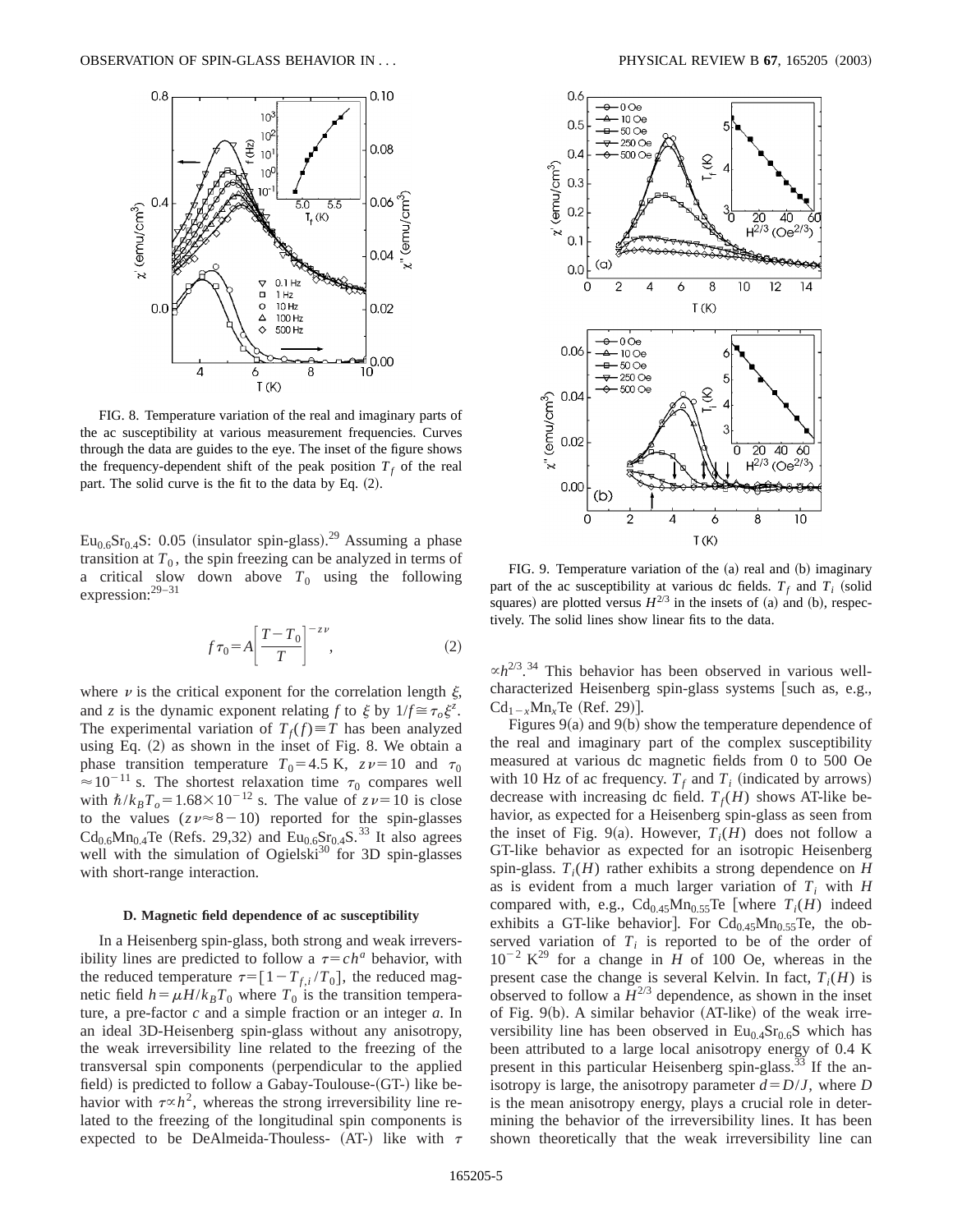

FIG. 8. Temperature variation of the real and imaginary parts of the ac susceptibility at various measurement frequencies. Curves through the data are guides to the eye. The inset of the figure shows the frequency-dependent shift of the peak position  $T_f$  of the real part. The solid curve is the fit to the data by Eq.  $(2)$ .

 $Eu_{0.6}Sr_{0.4}S: 0.05$  (insulator spin-glass).<sup>29</sup> Assuming a phase transition at  $T_0$ , the spin freezing can be analyzed in terms of a critical slow down above  $T_0$  using the following expression:<sup>29–31</sup>

$$
f\tau_0 = A \left[ \frac{T - T_0}{T} \right]^{-z\nu},\tag{2}
$$

where  $\nu$  is the critical exponent for the correlation length  $\xi$ , and *z* is the dynamic exponent relating *f* to  $\xi$  by  $1/f \approx \tau_o \xi^z$ . The experimental variation of  $T_f(f) \equiv T$  has been analyzed using Eq.  $(2)$  as shown in the inset of Fig. 8. We obtain a phase transition temperature  $T_0=4.5$  K,  $z\nu=10$  and  $\tau_0$  $\approx 10^{-11}$  s. The shortest relaxation time  $\tau_0$  compares well with  $\hbar/k_BT_o=1.68\times10^{-12}$  s. The value of  $z\nu=10$  is close to the values  $(zv \approx 8-10)$  reported for the spin-glasses  $Cd_{0.6}Mn_{0.4}$ Te (Refs. 29,32) and  $Eu_{0.6}Sr_{0.4}S$ .<sup>33</sup> It also agrees well with the simulation of Ogielski $30^{14}$  for 3D spin-glasses with short-range interaction.

## **D. Magnetic field dependence of ac susceptibility**

In a Heisenberg spin-glass, both strong and weak irreversibility lines are predicted to follow a  $\tau = c h^a$  behavior, with the reduced temperature  $\tau=[1-T_{f,i}/T_0]$ , the reduced magnetic field  $h = \mu H/k_B T_0$  where  $T_0$  is the transition temperature, a pre-factor *c* and a simple fraction or an integer *a*. In an ideal 3D-Heisenberg spin-glass without any anisotropy, the weak irreversibility line related to the freezing of the transversal spin components (perpendicular to the applied field) is predicted to follow a Gabay-Toulouse- $(GT-)$  like behavior with  $\tau \propto h^2$ , whereas the strong irreversibility line related to the freezing of the longitudinal spin components is expected to be DeAlmeida-Thouless- (AT-) like with  $\tau$ 



FIG. 9. Temperature variation of the (a) real and (b) imaginary part of the ac susceptibility at various dc fields.  $T_f$  and  $T_i$  (solid squares) are plotted versus  $H^{2/3}$  in the insets of (a) and (b), respectively. The solid lines show linear fits to the data.

 $\propto h^{2/3}$ .<sup>34</sup> This behavior has been observed in various wellcharacterized Heisenberg spin-glass systems [such as, e.g.,  $Cd_{1-x}Mn_xTe$  (Ref. 29)].

Figures  $9(a)$  and  $9(b)$  show the temperature dependence of the real and imaginary part of the complex susceptibility measured at various dc magnetic fields from 0 to 500 Oe with 10 Hz of ac frequency.  $T_f$  and  $T_i$  (indicated by arrows) decrease with increasing dc field.  $T_f(H)$  shows AT-like behavior, as expected for a Heisenberg spin-glass as seen from the inset of Fig. 9(a). However,  $T_i(H)$  does not follow a GT-like behavior as expected for an isotropic Heisenberg spin-glass.  $T_i(H)$  rather exhibits a strong dependence on *H* as is evident from a much larger variation of  $T_i$  with  $H$ compared with, e.g.,  $Cd_{0.45}Mn_{0.55}Te$  [where  $T_i(H)$  indeed exhibits a GT-like behavior]. For  $Cd_{0.45}Mn_{0.55}Te$ , the observed variation of  $T_i$  is reported to be of the order of  $10^{-2}$  K<sup>29</sup> for a change in *H* of 100 Oe, whereas in the present case the change is several Kelvin. In fact,  $T_i(H)$  is observed to follow a  $\tilde{H}^{2/3}$  dependence, as shown in the inset of Fig.  $9(b)$ . A similar behavior (AT-like) of the weak irreversibility line has been observed in  $Eu<sub>0.4</sub>Sr<sub>0.6</sub>S$  which has been attributed to a large local anisotropy energy of 0.4 K present in this particular Heisenberg spin-glass.<sup>33</sup> If the anisotropy is large, the anisotropy parameter  $d = D/J$ , where *D* is the mean anisotropy energy, plays a crucial role in determining the behavior of the irreversibility lines. It has been shown theoretically that the weak irreversibility line can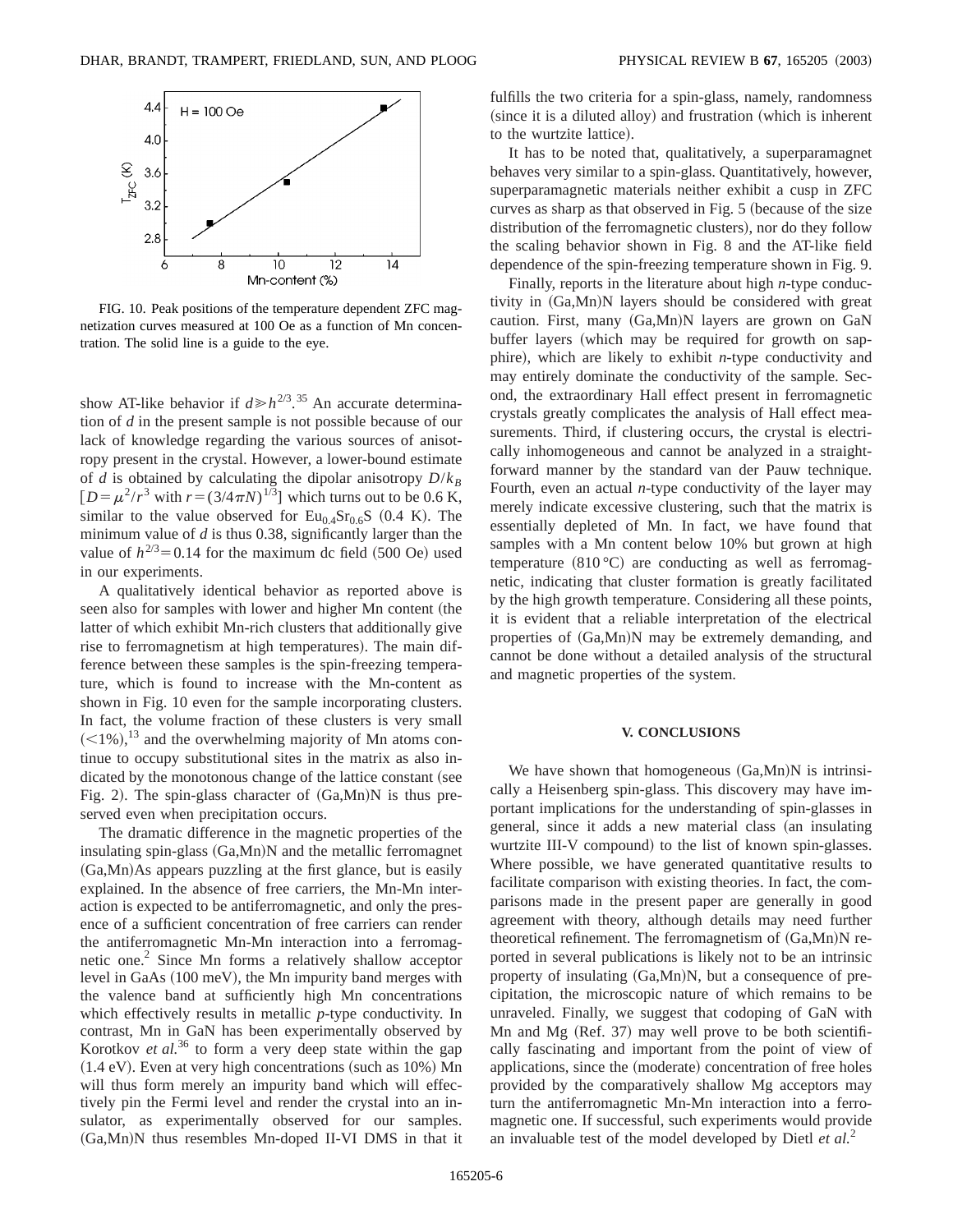

FIG. 10. Peak positions of the temperature dependent ZFC magnetization curves measured at 100 Oe as a function of Mn concentration. The solid line is a guide to the eye.

show AT-like behavior if  $d \ge h^{2/3}$ .<sup>35</sup> An accurate determination of *d* in the present sample is not possible because of our lack of knowledge regarding the various sources of anisotropy present in the crystal. However, a lower-bound estimate of *d* is obtained by calculating the dipolar anisotropy  $D/k_B$  $[D = \mu^2/r^3$  with  $r = (3/4\pi N)^{1/3}$  which turns out to be 0.6 K, similar to the value observed for  $Eu_{0.4}Sr_{0.6}S$  (0.4 K). The minimum value of *d* is thus 0.38, significantly larger than the value of  $h^{2/3}=0.14$  for the maximum dc field (500 Oe) used in our experiments.

A qualitatively identical behavior as reported above is seen also for samples with lower and higher Mn content (the latter of which exhibit Mn-rich clusters that additionally give rise to ferromagnetism at high temperatures). The main difference between these samples is the spin-freezing temperature, which is found to increase with the Mn-content as shown in Fig. 10 even for the sample incorporating clusters. In fact, the volume fraction of these clusters is very small  $(<1%)$ ,<sup>13</sup> and the overwhelming majority of Mn atoms continue to occupy substitutional sites in the matrix as also indicated by the monotonous change of the lattice constant (see Fig. 2). The spin-glass character of  $(Ga, Mn)N$  is thus preserved even when precipitation occurs.

The dramatic difference in the magnetic properties of the insulating spin-glass  $(Ga, Mn)N$  and the metallic ferromagnet  $(Ga, Mn)$ As appears puzzling at the first glance, but is easily explained. In the absence of free carriers, the Mn-Mn interaction is expected to be antiferromagnetic, and only the presence of a sufficient concentration of free carriers can render the antiferromagnetic Mn-Mn interaction into a ferromagnetic one.2 Since Mn forms a relatively shallow acceptor level in GaAs  $(100 \text{ meV})$ , the Mn impurity band merges with the valence band at sufficiently high Mn concentrations which effectively results in metallic *p*-type conductivity. In contrast, Mn in GaN has been experimentally observed by Korotkov *et al.*<sup>36</sup> to form a very deep state within the gap  $(1.4 \text{ eV})$ . Even at very high concentrations (such as 10%) Mn will thus form merely an impurity band which will effectively pin the Fermi level and render the crystal into an insulator, as experimentally observed for our samples. (Ga,Mn)N thus resembles Mn-doped II-VI DMS in that it

fulfills the two criteria for a spin-glass, namely, randomness (since it is a diluted alloy) and frustration (which is inherent to the wurtzite lattice).

It has to be noted that, qualitatively, a superparamagnet behaves very similar to a spin-glass. Quantitatively, however, superparamagnetic materials neither exhibit a cusp in ZFC curves as sharp as that observed in Fig. 5 (because of the size distribution of the ferromagnetic clusters), nor do they follow the scaling behavior shown in Fig. 8 and the AT-like field dependence of the spin-freezing temperature shown in Fig. 9.

Finally, reports in the literature about high *n*-type conductivity in  $(Ga, Mn)N$  layers should be considered with great caution. First, many  $(Ga, Mn)N$  layers are grown on  $GaN$ buffer layers (which may be required for growth on sapphire), which are likely to exhibit *n*-type conductivity and may entirely dominate the conductivity of the sample. Second, the extraordinary Hall effect present in ferromagnetic crystals greatly complicates the analysis of Hall effect measurements. Third, if clustering occurs, the crystal is electrically inhomogeneous and cannot be analyzed in a straightforward manner by the standard van der Pauw technique. Fourth, even an actual *n*-type conductivity of the layer may merely indicate excessive clustering, such that the matrix is essentially depleted of Mn. In fact, we have found that samples with a Mn content below 10% but grown at high temperature  $(810 °C)$  are conducting as well as ferromagnetic, indicating that cluster formation is greatly facilitated by the high growth temperature. Considering all these points, it is evident that a reliable interpretation of the electrical properties of  $(Ga, Mn)N$  may be extremely demanding, and cannot be done without a detailed analysis of the structural and magnetic properties of the system.

#### **V. CONCLUSIONS**

We have shown that homogeneous  $(Ga, Mn)N$  is intrinsically a Heisenberg spin-glass. This discovery may have important implications for the understanding of spin-glasses in general, since it adds a new material class (an insulating wurtzite III-V compound) to the list of known spin-glasses. Where possible, we have generated quantitative results to facilitate comparison with existing theories. In fact, the comparisons made in the present paper are generally in good agreement with theory, although details may need further theoretical refinement. The ferromagnetism of  $(Ga, Mn)N$  reported in several publications is likely not to be an intrinsic property of insulating  $(Ga, Mn)N$ , but a consequence of precipitation, the microscopic nature of which remains to be unraveled. Finally, we suggest that codoping of GaN with Mn and Mg  $(Ref. 37)$  may well prove to be both scientifically fascinating and important from the point of view of applications, since the (moderate) concentration of free holes provided by the comparatively shallow Mg acceptors may turn the antiferromagnetic Mn-Mn interaction into a ferromagnetic one. If successful, such experiments would provide an invaluable test of the model developed by Dietl *et al.*<sup>2</sup>